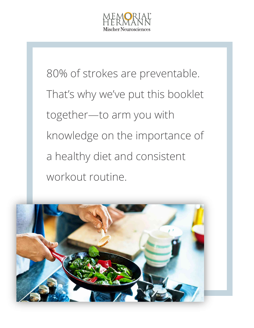

80% of strokes are preventable. That's why we've put this booklet together—to arm you with knowledge on the importance of a healthy diet and consistent workout routine.

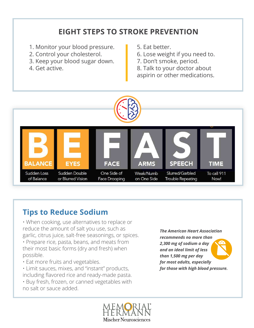## **EIGHT STEPS TO STROKE PREVENTION**

- 1. Monitor your blood pressure.
- 2. Control your cholesterol.
- 3. Keep your blood sugar down.
- 4. Get active.
- 5. Eat better.
- 6. Lose weight if you need to.
- 7. Don't smoke, period.
- 8. Talk to your doctor about
- aspirin or other medications.



## **Tips to Reduce Sodium**

- When cooking, use alternatives to replace or reduce the amount of salt you use, such as garlic, citrus juice, salt-free seasonings, or spices.
- Prepare rice, pasta, beans, and meats from their most basic forms (dry and fresh) when possible.
- Eat more fruits and vegetables.
- Limit sauces, mixes, and "instant" products, including flavored rice and ready-made pasta.
- Buy fresh, frozen, or canned vegetables with no salt or sauce added.

*The American Heart Association recommends no more than 2,300 mg of sodium a day and an ideal limit of less than 1,500 mg per day for most adults, especially for those with high blood pressure.*

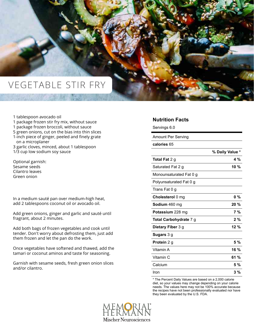## VEGETABLE STIR FRY

1 tablespoon avocado oil 1 package frozen stir fry mix, without sauce 1 package frozen broccoli, without sauce 5 green onions, cut on the bias into thin slices 1-inch piece of ginger, peeled and finely grate on a microplaner 3 garlic cloves, minced, about 1 tablespoon 1/3 cup low sodium soy sauce

Optional garnish: Sesame seeds Cilantro leaves Green onion

In a medium sauté pan over medium-high heat, add 2 tablespoons coconut oil or avocado oil.

Add green onions, ginger and garlic and sauté until fragrant, about 2 minutes.

Add both bags of frozen vegetables and cook until tender. Don't worry about defrosting them, just add them frozen and let the pan do the work.

Once vegetables have softened and thawed, add the tamari or coconut aminos and taste for seasoning.

Garnish with sesame seeds, fresh green onion slices and/or cilantro.

### **Nutrition Facts**

Servings 6.0

| Amount Per Serving      |                 |
|-------------------------|-----------------|
| calories 65             |                 |
|                         | % Daily Value * |
| <b>Total Fat 2 g</b>    | 4 %             |
| Saturated Fat 2 g       | 10 $%$          |
| Monounsaturated Fat 0 g |                 |
| Polyunsaturated Fat 0 g |                 |
| Trans Fat 0 g           |                 |
| Cholesterol 0 mg        | $0\%$           |
| <b>Sodium</b> 460 mg    | $20 \%$         |
| <b>Potassium</b> 228 mg | 7 %             |
| Total Carbohydrate 7 g  | 2%              |
| Dietary Fiber 3 g       | $12 \%$         |
| Sugars 3 g              |                 |
| Protein 2 g             | 5 %             |
| Vitamin A               | 16 %            |
| Vitamin C               | 61 $%$          |
| Calcium                 | 5 %             |
| Iron                    | 3 %             |

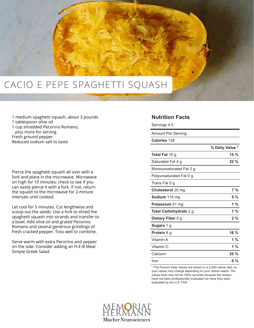

- 1 medium spaghetti squash, about 3 pounds
- 1 tablespoon olive oil
- 1 cup shredded Pecorino Romano, plus more for serving Fresh ground pepper Reduced sodium salt to taste

Pierce the spaghetti squash all over with a fork and place in the microwave. Microwave on high for 10 minutes; check to see if you can easily pierce it with a fork. If not, return the squash to the microwave for 2-minute intervals until cooked.

Let cool for 5 minutes. Cut lengthwise and scoop out the seeds. Use a fork to shred the spaghetti squash into strands and transfer to a bowl. Add olive oil and grated Pecorino Romano and several generous grindings of fresh cracked pepper. Toss well to combine.

Serve warm with extra Pecorino and pepper on the side. Consider adding an H-E-B Meal Simple Greek Salad.

### **Nutrition Facts**

Servings 4.0

Amount Per Serving

| Calories 138 |  |
|--------------|--|
|              |  |

|                         | % Daily Value * |
|-------------------------|-----------------|
| Total Fat 10 g          | $15 \%$         |
| Saturated Fat 4 g       | $22\%$          |
| Monounsaturated Fat 2 g |                 |
| Polyunsaturated Fat 0 g |                 |
| Trans Fat 0 g           |                 |
| Cholesterol 20 mg       | 7 %             |
| <b>Sodium</b> 115 mg    | 5 %             |
| <b>Potassium</b> 51 mg  | 1 %             |
| Total Carbohydrate 2 g  | 1 %             |
| Dietary Fiber 0 g       | 2 %             |
| <b>Sugars 1 g</b>       |                 |
| <b>Protein 8 g</b>      | 16 %            |
| Vitamin A               | 1 $%$           |
| Vitamin C               | 1 $%$           |
| Calcium                 | $25 \%$         |
| Iron                    | 0 %             |

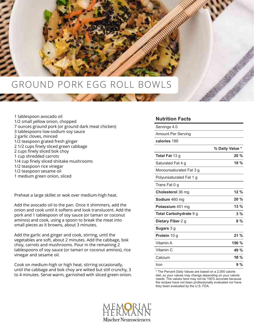

| 1 tablespoon avocado oil                           |
|----------------------------------------------------|
| 1/2 small yellow onion, chopped                    |
| 7 ounces ground pork (or ground dark meat chicken) |
| 3 tablespoons low-sodium soy sauce                 |
| 2 garlic cloves, minced                            |
| 1/2 teaspoon grated fresh ginger                   |
| 21/2 cups finely sliced green cabbage              |
| 2 cups finely sliced bok choy                      |
| 1 cup shredded carrots                             |
| 1/4 cup finely sliced shiitake mushrooms           |
| 1/2 teaspoon rice vinegar                          |
| 1/2 teaspoon sesame oil                            |
|                                                    |

1 medium green onion, sliced

Preheat a large skillet or wok over medium-high heat.

Add the avocado oil to the pan. Once it shimmers, add the onion and cook until it softens and look translucent. Add the pork and 1 tablespoon of soy sauce (or tamari or coconut aminos) and cook, using a spoon to break the meat into small pieces as it browns, about 3 minutes.

Add the garlic and ginger and cook, stirring, until the vegetables are soft, about 2 minutes. Add the cabbage, bok choy, carrots and mushrooms. Pour in the remaining 2 tablespoons of soy sauce (or tamari or coconut aminos), rice vinegar and sesame oil.

Cook on medium-high or high heat, stirring occasionally, until the cabbage and bok choy are wilted but still crunchy, 3 to 4 minutes. Serve warm, garnished with sliced green onion.

### **Nutrition Facts**

| Servings 4.0                  |                 |
|-------------------------------|-----------------|
| <b>Amount Per Serving</b>     |                 |
| calories 199                  |                 |
|                               | % Daily Value * |
| <b>Total Fat 13 g</b>         | 20%             |
| Saturated Fat 4 g             | $18 \%$         |
| Monounsaturated Fat 3 g       |                 |
| Polyunsaturated Fat 1 g       |                 |
| Trans Fat 0 q                 |                 |
| <b>Cholesterol</b> 36 mg      | 12%             |
| Sodium 460 mg                 | $20\%$          |
| Potassium 451 mg              | 13%             |
| <b>Total Carbohydrate 9 g</b> | 3%              |
| Dietary Fiber 2 g             | 8%              |
| Sugars 3 g                    |                 |
| Protein 10 g                  | 21%             |
| Vitamin A                     | 156 %           |
| Vitamin C                     | 49 %            |
| Calcium                       | 10 %            |
| Iron                          | 9%              |

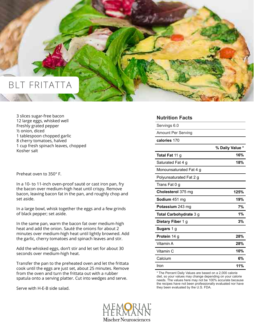

3 slices sugar-free bacon 12 large eggs, whisked well Freshly grated pepper ½ onion, diced 1 tablespoon chopped garlic 8 cherry tomatoes, halved 1 cup fresh spinach leaves, chopped Kosher salt

Preheat oven to 350° F.

In a 10- to 11-inch oven-proof sauté or cast iron pan, fry the bacon over medium-high heat until crispy. Remove bacon, leaving bacon fat in the pan, and roughly chop and set aside.

In a large bowl, whisk together the eggs and a few grinds of black pepper; set aside.

In the same pan, warm the bacon fat over medium-high heat and add the onion. Sauté the onions for about 2 minutes over medium-high heat until lightly browned. Add the garlic, cherry tomatoes and spinach leaves and stir.

Add the whisked eggs, don't stir and let set for about 30 seconds over medium-high heat.

Transfer the pan to the preheated oven and let the frittata cook until the eggs are just set, about 25 minutes. Remove from the oven and turn the frittata out with a rubber spatula onto a serving platter. Cut into wedges and serve.

Serve with H-E-B side salad.

| <b>Nutrition Facts</b>  |                 |
|-------------------------|-----------------|
| Servings 6.0            |                 |
| Amount Per Serving      |                 |
| calories 170            |                 |
|                         | % Daily Value * |
| Total Fat 11 g          | 16%             |
| Saturated Fat 4 g       | 18%             |
| Monounsaturated Fat 4 g |                 |
| Polyunsaturated Fat 2 g |                 |
| Trans Fat 0 g           |                 |
| Cholesterol 375 mg      | 125%            |
| Sodium 451 mg           | 19%             |
| Potassium 243 mg        | 7%              |
| Total Carbohydrate 3 g  | 1%              |
| Dietary Fiber 1 g       | 3%              |
| Sugars 1 g              |                 |
| Protein 14 g            | 28%             |
| Vitamin A               | 28%             |
| Vitamin C               | 10%             |
| Calcium                 | 6%              |
| Iron                    | 11%             |

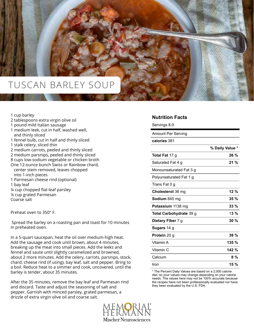

### 1 cup barley

- 2 tablespoons extra virgin olive oil
- 1 pound mild Italian sausage
- 1 medium leek, cut in half, washed well, and thinly sliced
- 1 fennel bulb, cut in half and thinly sliced
- 1 stalk celery, sliced thin
- 2 medium carrots, peeled and thinly sliced
- 2 medium parsnips, peeled and thinly sliced
- 8 cups low-sodium vegetable or chicken broth
- One 12-ounce bunch Swiss or Rainbow chard, center stem removed, leaves chopped into 1-inch pieces
- 1 Parmesan cheese rind (optional)
- 1 bay leaf
- ¼ cup chopped flat-leaf parsley
- ¼ cup grated Parmesan
- Coarse salt

Preheat oven to 350° F.

 Spread the barley on a roasting pan and toast for 10 minutes in preheated oven.

In a 5-quart saucepan, heat the oil over medium-high heat. Add the sausage and cook until brown, about 4 minutes, breaking up the meat into small pieces. Add the leeks and fennel and saute until slightly caramelized and browned, about 2 more minutes. Add the celery, carrots, parsnips, stock, chard, cheese rind (if using), bay leaf, salt and pepper. Bring to a boil. Reduce heat to a simmer and cook, uncovered, until the barley is tender, about 35 minutes.

After the 35 minutes, remove the bay leaf and Parmesan rind and discard. Taste and adjust the seasoning of salt and pepper. Garnish with minced parsley, grated parmesan, a drizzle of extra virgin olive oil and coarse salt.

# Mischer Neurosciences

### **Nutrition Facts**

Servings 8.0

| <b>Amount Per Serving</b> |                 |
|---------------------------|-----------------|
| calories 381              |                 |
|                           | % Daily Value * |
| <b>Total Fat</b> 17 g     | $26 \%$         |
| Saturated Fat 4 g         | $21 \%$         |
| Monounsaturated Fat 3 g   |                 |
| Polyunsaturated Fat 1 g   |                 |
| Trans Fat 0 g             |                 |
| Cholesterol 36 mg         | 12%             |
| <b>Sodium</b> 845 mg      | $35 \%$         |
| <b>Potassium</b> 1138 mg  | $33\%$          |
| Total Carbohydrate 39 g   | $13\%$          |
| Dietary Fiber 7 g         | $30\%$          |
| <b>Sugars</b> 14 g        |                 |
| <b>Protein 20 g</b>       | $39 \%$         |
| Vitamin A                 | $135 \%$        |
| Vitamin C                 | 142 %           |
| Calcium                   | 8 %             |
| Iron                      | 15 $%$          |